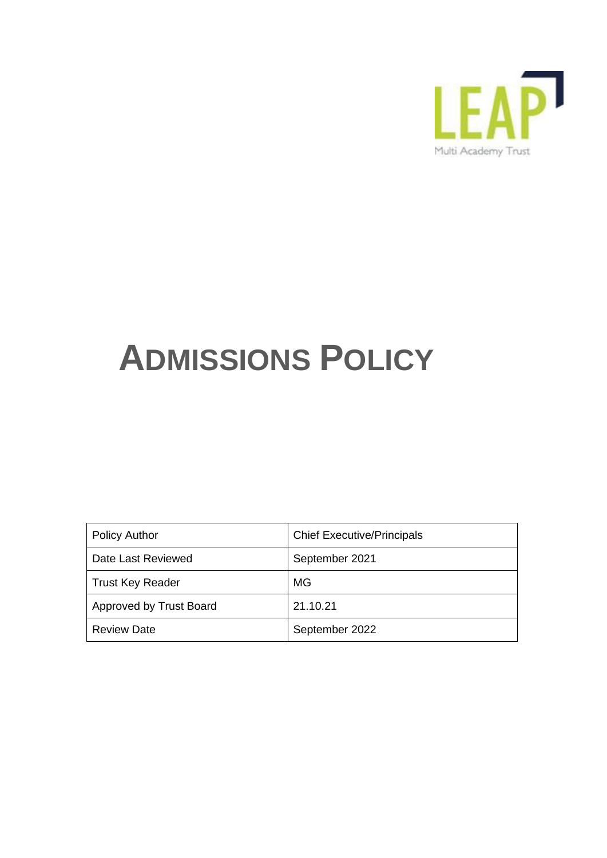

# **ADMISSIONS POLICY**

| <b>Policy Author</b>    | <b>Chief Executive/Principals</b> |
|-------------------------|-----------------------------------|
| Date Last Reviewed      | September 2021                    |
| <b>Trust Key Reader</b> | MG                                |
| Approved by Trust Board | 21.10.21                          |
| <b>Review Date</b>      | September 2022                    |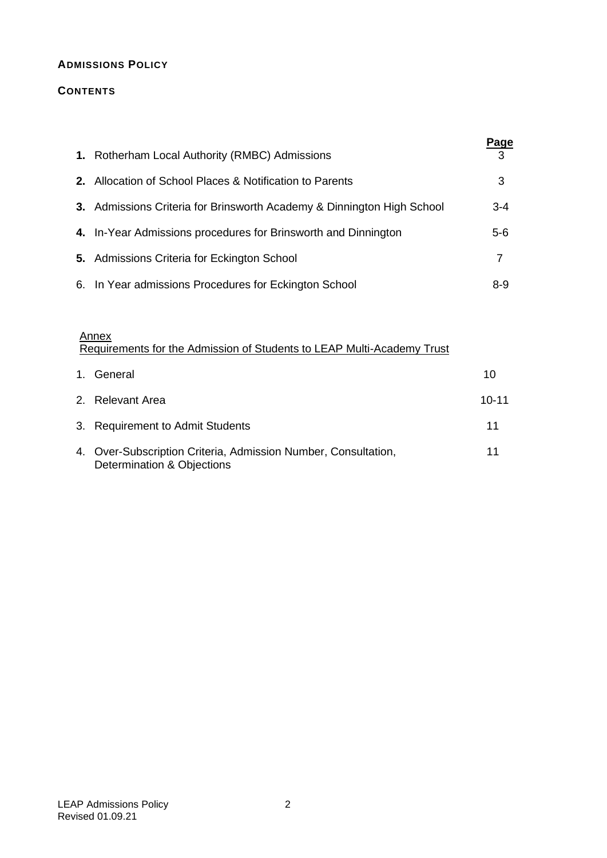# **ADMISSIONS POLICY**

# **CONTENTS**

| 1. Rotherham Local Authority (RMBC) Admissions                         | <b>Page</b><br>3 |
|------------------------------------------------------------------------|------------------|
| 2. Allocation of School Places & Notification to Parents               | 3                |
| 3. Admissions Criteria for Brinsworth Academy & Dinnington High School | 3-4              |
| 4. In-Year Admissions procedures for Brinsworth and Dinnington         | 5-6              |
| 5. Admissions Criteria for Eckington School                            | 7                |
| 6. In Year admissions Procedures for Eckington School                  | 8-9              |

#### **Annex** Requirements for the Admission of Students to LEAP Multi-Academy Trust

| 1. General                                                                                   | 10        |
|----------------------------------------------------------------------------------------------|-----------|
| 2. Relevant Area                                                                             | $10 - 11$ |
| 3. Requirement to Admit Students                                                             | 11        |
| 4. Over-Subscription Criteria, Admission Number, Consultation,<br>Determination & Objections | 11        |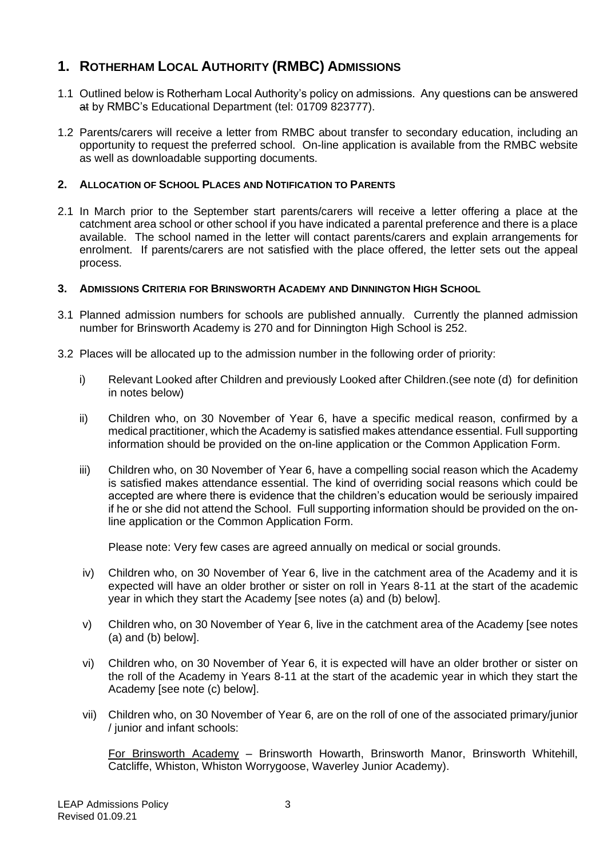# **1. ROTHERHAM LOCAL AUTHORITY (RMBC) ADMISSIONS**

- 1.1 Outlined below is Rotherham Local Authority's policy on admissions. Any questions can be answered at by RMBC's Educational Department (tel: 01709 823777).
- 1.2 Parents/carers will receive a letter from RMBC about transfer to secondary education, including an opportunity to request the preferred school. On-line application is available from the RMBC website as well as downloadable supporting documents.

# **2. ALLOCATION OF SCHOOL PLACES AND NOTIFICATION TO PARENTS**

2.1 In March prior to the September start parents/carers will receive a letter offering a place at the catchment area school or other school if you have indicated a parental preference and there is a place available. The school named in the letter will contact parents/carers and explain arrangements for enrolment. If parents/carers are not satisfied with the place offered, the letter sets out the appeal process.

# **3. ADMISSIONS CRITERIA FOR BRINSWORTH ACADEMY AND DINNINGTON HIGH SCHOOL**

- 3.1 Planned admission numbers for schools are published annually. Currently the planned admission number for Brinsworth Academy is 270 and for Dinnington High School is 252.
- 3.2 Places will be allocated up to the admission number in the following order of priority:
	- i) Relevant Looked after Children and previously Looked after Children.(see note (d) for definition in notes below)
	- ii) Children who, on 30 November of Year 6, have a specific medical reason, confirmed by a medical practitioner, which the Academy is satisfied makes attendance essential. Full supporting information should be provided on the on-line application or the Common Application Form.
	- iii) Children who, on 30 November of Year 6, have a compelling social reason which the Academy is satisfied makes attendance essential. The kind of overriding social reasons which could be accepted are where there is evidence that the children's education would be seriously impaired if he or she did not attend the School. Full supporting information should be provided on the online application or the Common Application Form.

Please note: Very few cases are agreed annually on medical or social grounds.

- iv) Children who, on 30 November of Year 6, live in the catchment area of the Academy and it is expected will have an older brother or sister on roll in Years 8-11 at the start of the academic year in which they start the Academy [see notes (a) and (b) below].
- v) Children who, on 30 November of Year 6, live in the catchment area of the Academy [see notes (a) and (b) below].
- vi) Children who, on 30 November of Year 6, it is expected will have an older brother or sister on the roll of the Academy in Years 8-11 at the start of the academic year in which they start the Academy [see note (c) below].
- vii) Children who, on 30 November of Year 6, are on the roll of one of the associated primary/junior / junior and infant schools:

For Brinsworth Academy – Brinsworth Howarth, Brinsworth Manor, Brinsworth Whitehill, Catcliffe, Whiston, Whiston Worrygoose, Waverley Junior Academy).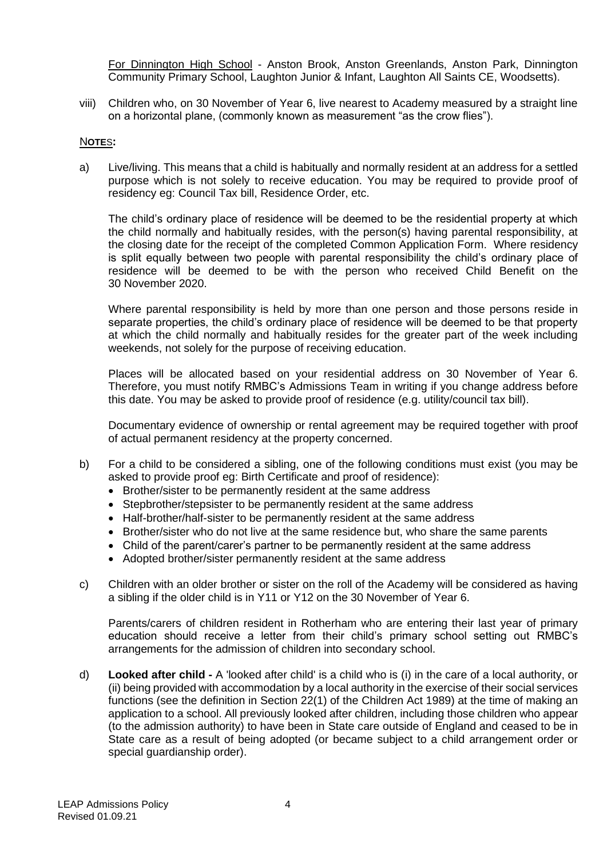For Dinnington High School - Anston Brook, Anston Greenlands, Anston Park, Dinnington Community Primary School, Laughton Junior & Infant, Laughton All Saints CE, Woodsetts).

viii) Children who, on 30 November of Year 6, live nearest to Academy measured by a straight line on a horizontal plane, (commonly known as measurement "as the crow flies").

### N**OTE**S**:**

a) Live/living. This means that a child is habitually and normally resident at an address for a settled purpose which is not solely to receive education. You may be required to provide proof of residency eg: Council Tax bill, Residence Order, etc.

The child's ordinary place of residence will be deemed to be the residential property at which the child normally and habitually resides, with the person(s) having parental responsibility, at the closing date for the receipt of the completed Common Application Form. Where residency is split equally between two people with parental responsibility the child's ordinary place of residence will be deemed to be with the person who received Child Benefit on the 30 November 2020.

Where parental responsibility is held by more than one person and those persons reside in separate properties, the child's ordinary place of residence will be deemed to be that property at which the child normally and habitually resides for the greater part of the week including weekends, not solely for the purpose of receiving education.

Places will be allocated based on your residential address on 30 November of Year 6. Therefore, you must notify RMBC's Admissions Team in writing if you change address before this date. You may be asked to provide proof of residence (e.g. utility/council tax bill).

Documentary evidence of ownership or rental agreement may be required together with proof of actual permanent residency at the property concerned.

- b) For a child to be considered a sibling, one of the following conditions must exist (you may be asked to provide proof eg: Birth Certificate and proof of residence):
	- Brother/sister to be permanently resident at the same address
	- Stepbrother/stepsister to be permanently resident at the same address
	- Half-brother/half-sister to be permanently resident at the same address
	- Brother/sister who do not live at the same residence but, who share the same parents
	- Child of the parent/carer's partner to be permanently resident at the same address
	- Adopted brother/sister permanently resident at the same address
- c) Children with an older brother or sister on the roll of the Academy will be considered as having a sibling if the older child is in Y11 or Y12 on the 30 November of Year 6.

Parents/carers of children resident in Rotherham who are entering their last year of primary education should receive a letter from their child's primary school setting out RMBC's arrangements for the admission of children into secondary school.

d) **Looked after child -** A 'looked after child' is a child who is (i) in the care of a local authority, or (ii) being provided with accommodation by a local authority in the exercise of their social services functions (see the definition in Section 22(1) of the Children Act 1989) at the time of making an application to a school. All previously looked after children, including those children who appear (to the admission authority) to have been in State care outside of England and ceased to be in State care as a result of being adopted (or became subject to a child arrangement order or special guardianship order).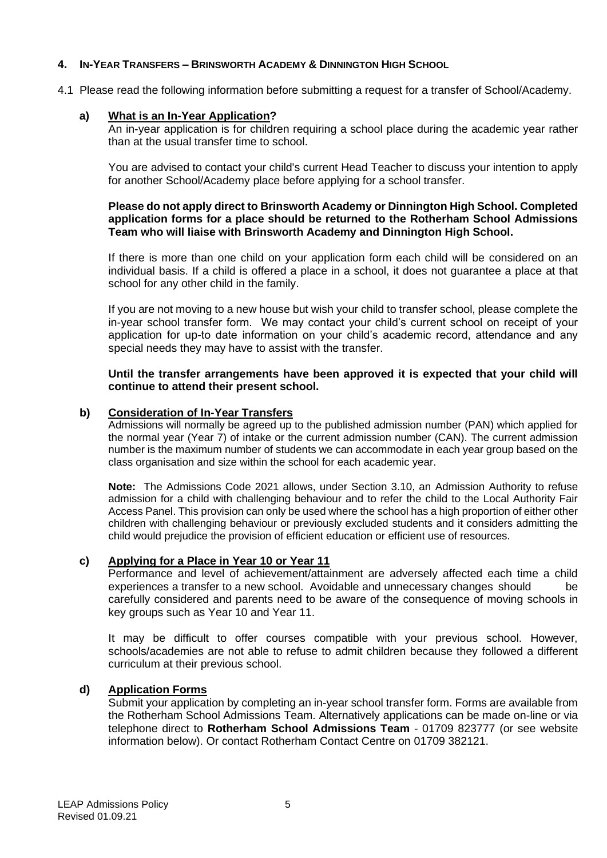# **4. IN-YEAR TRANSFERS – BRINSWORTH ACADEMY & DINNINGTON HIGH SCHOOL**

4.1 Please read the following information before submitting a request for a transfer of School/Academy.

# **a) What is an In-Year Application?**

An in-year application is for children requiring a school place during the academic year rather than at the usual transfer time to school.

You are advised to contact your child's current Head Teacher to discuss your intention to apply for another School/Academy place before applying for a school transfer.

#### **Please do not apply direct to Brinsworth Academy or Dinnington High School. Completed application forms for a place should be returned to the Rotherham School Admissions Team who will liaise with Brinsworth Academy and Dinnington High School.**

If there is more than one child on your application form each child will be considered on an individual basis. If a child is offered a place in a school, it does not guarantee a place at that school for any other child in the family.

If you are not moving to a new house but wish your child to transfer school, please complete the in-year school transfer form. We may contact your child's current school on receipt of your application for up-to date information on your child's academic record, attendance and any special needs they may have to assist with the transfer.

#### **Until the transfer arrangements have been approved it is expected that your child will continue to attend their present school.**

### **b) Consideration of In-Year Transfers**

Admissions will normally be agreed up to the published admission number (PAN) which applied for the normal year (Year 7) of intake or the current admission number (CAN). The current admission number is the maximum number of students we can accommodate in each year group based on the class organisation and size within the school for each academic year.

**Note:** The Admissions Code 2021 allows, under Section 3.10, an Admission Authority to refuse admission for a child with challenging behaviour and to refer the child to the Local Authority Fair Access Panel. This provision can only be used where the school has a high proportion of either other children with challenging behaviour or previously excluded students and it considers admitting the child would prejudice the provision of efficient education or efficient use of resources.

### **c) Applying for a Place in Year 10 or Year 11**

Performance and level of achievement/attainment are adversely affected each time a child experiences a transfer to a new school. Avoidable and unnecessary changes should be carefully considered and parents need to be aware of the consequence of moving schools in key groups such as Year 10 and Year 11.

It may be difficult to offer courses compatible with your previous school. However, schools/academies are not able to refuse to admit children because they followed a different curriculum at their previous school.

# **d) Application Forms**

Submit your application by completing an in-year school transfer form. Forms are available from the Rotherham School Admissions Team. Alternatively applications can be made on-line or via telephone direct to **Rotherham School Admissions Team** - 01709 823777 (or see website information below). Or contact Rotherham Contact Centre on 01709 382121.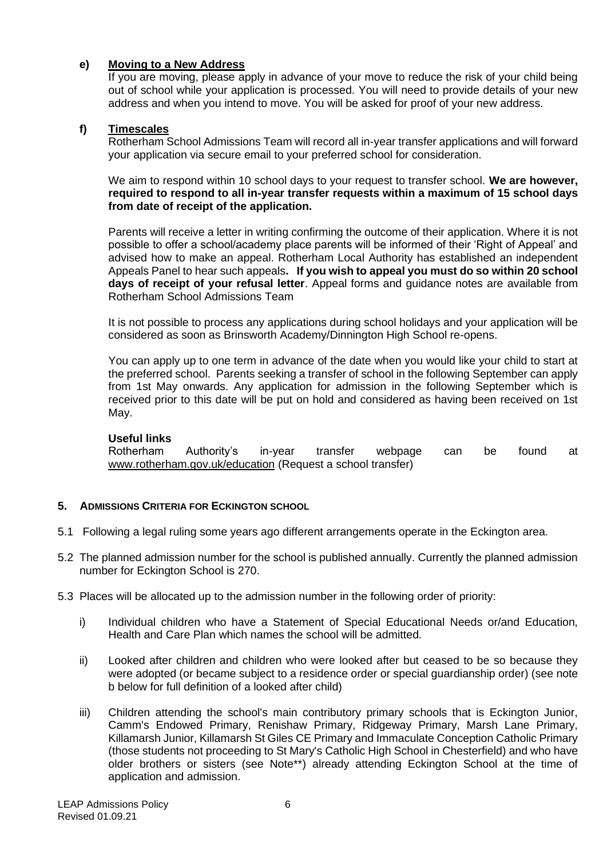# **e) Moving to a New Address**

If you are moving, please apply in advance of your move to reduce the risk of your child being out of school while your application is processed. You will need to provide details of your new address and when you intend to move. You will be asked for proof of your new address.

# **f) Timescales**

Rotherham School Admissions Team will record all in-year transfer applications and will forward your application via secure email to your preferred school for consideration.

We aim to respond within 10 school days to your request to transfer school. **We are however, required to respond to all in-year transfer requests within a maximum of 15 school days from date of receipt of the application.**

Parents will receive a letter in writing confirming the outcome of their application. Where it is not possible to offer a school/academy place parents will be informed of their 'Right of Appeal' and advised how to make an appeal. Rotherham Local Authority has established an independent Appeals Panel to hear such appeals**. If you wish to appeal you must do so within 20 school days of receipt of your refusal letter**. Appeal forms and guidance notes are available from Rotherham School Admissions Team

It is not possible to process any applications during school holidays and your application will be considered as soon as Brinsworth Academy/Dinnington High School re-opens.

You can apply up to one term in advance of the date when you would like your child to start at the preferred school. Parents seeking a transfer of school in the following September can apply from 1st May onwards. Any application for admission in the following September which is received prior to this date will be put on hold and considered as having been received on 1st May.

### **Useful links**

Rotherham Authority's in-year transfer webpage can be found at [www.rotherham.gov.uk/education](http://www.rotherham.gov.uk/education) (Request a school transfer)

### **5. ADMISSIONS CRITERIA FOR ECKINGTON SCHOOL**

- 5.1 Following a legal ruling some years ago different arrangements operate in the Eckington area.
- 5.2 The planned admission number for the school is published annually. Currently the planned admission number for Eckington School is 270.
- 5.3 Places will be allocated up to the admission number in the following order of priority:
	- i) Individual children who have a Statement of Special Educational Needs or/and Education, Health and Care Plan which names the school will be admitted.
	- ii) Looked after children and children who were looked after but ceased to be so because they were adopted (or became subject to a residence order or special guardianship order) (see note b below for full definition of a looked after child)
	- iii) Children attending the school's main contributory primary schools that is Eckington Junior, Camm's Endowed Primary, Renishaw Primary, Ridgeway Primary, Marsh Lane Primary, Killamarsh Junior, Killamarsh St Giles CE Primary and Immaculate Conception Catholic Primary (those students not proceeding to St Mary's Catholic High School in Chesterfield) and who have older brothers or sisters (see Note\*\*) already attending Eckington School at the time of application and admission.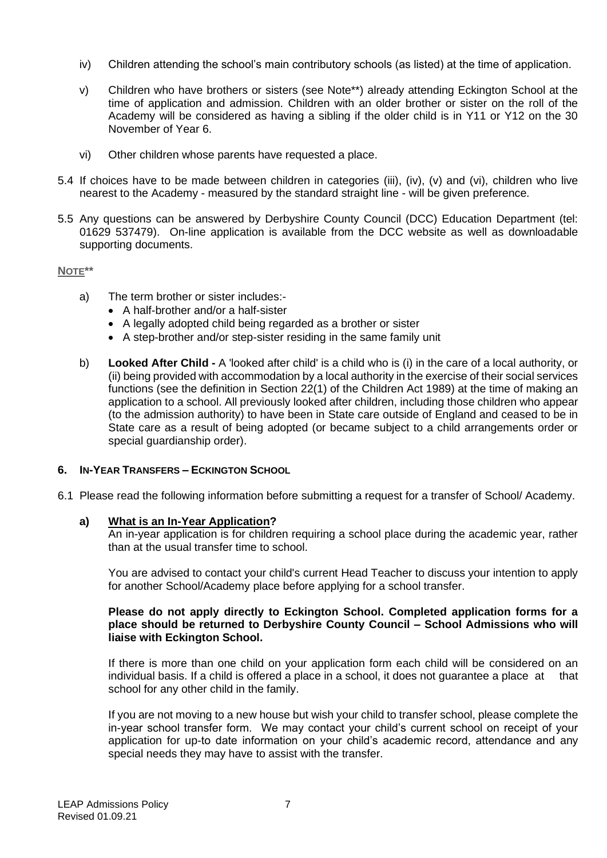- iv) Children attending the school's main contributory schools (as listed) at the time of application.
- v) Children who have brothers or sisters (see Note\*\*) already attending Eckington School at the time of application and admission. Children with an older brother or sister on the roll of the Academy will be considered as having a sibling if the older child is in Y11 or Y12 on the 30 November of Year 6.
- vi) Other children whose parents have requested a place.
- 5.4 If choices have to be made between children in categories (iii), (iv), (v) and (vi), children who live nearest to the Academy - measured by the standard straight line - will be given preference.
- 5.5 Any questions can be answered by Derbyshire County Council (DCC) Education Department (tel: 01629 537479). On-line application is available from the DCC website as well as downloadable supporting documents.

#### **NOTE\*\***

- a) The term brother or sister includes:-
	- A half-brother and/or a half-sister
	- A legally adopted child being regarded as a brother or sister
	- A step-brother and/or step-sister residing in the same family unit
- b) **Looked After Child -** A 'looked after child' is a child who is (i) in the care of a local authority, or (ii) being provided with accommodation by a local authority in the exercise of their social services functions (see the definition in Section 22(1) of the Children Act 1989) at the time of making an application to a school. All previously looked after children, including those children who appear (to the admission authority) to have been in State care outside of England and ceased to be in State care as a result of being adopted (or became subject to a child arrangements order or special guardianship order).

#### **6. IN-YEAR TRANSFERS – ECKINGTON SCHOOL**

6.1 Please read the following information before submitting a request for a transfer of School/ Academy.

#### **a) What is an In-Year Application?**

An in-year application is for children requiring a school place during the academic year, rather than at the usual transfer time to school.

You are advised to contact your child's current Head Teacher to discuss your intention to apply for another School/Academy place before applying for a school transfer.

#### **Please do not apply directly to Eckington School. Completed application forms for a place should be returned to Derbyshire County Council – School Admissions who will liaise with Eckington School.**

If there is more than one child on your application form each child will be considered on an individual basis. If a child is offered a place in a school, it does not guarantee a place at that school for any other child in the family.

If you are not moving to a new house but wish your child to transfer school, please complete the in-year school transfer form. We may contact your child's current school on receipt of your application for up-to date information on your child's academic record, attendance and any special needs they may have to assist with the transfer.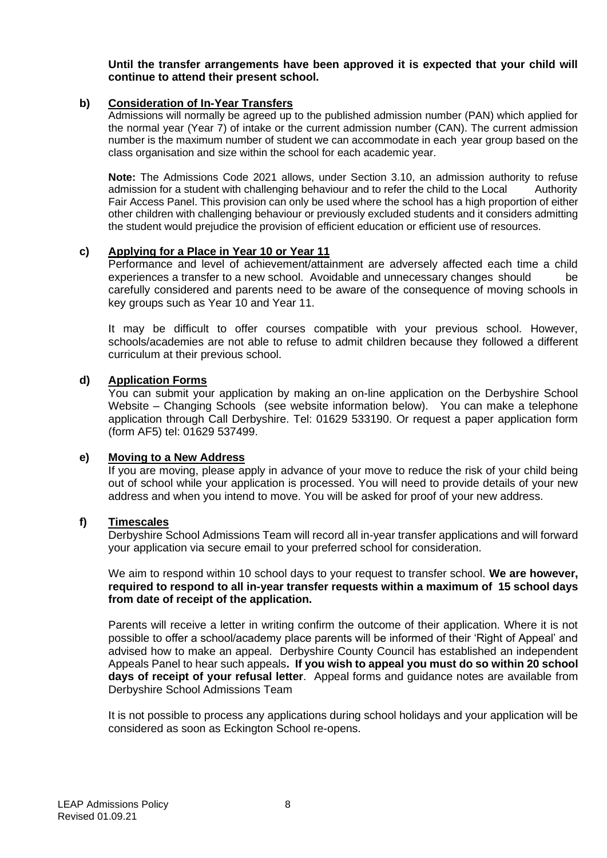**Until the transfer arrangements have been approved it is expected that your child will continue to attend their present school.**

#### **b) Consideration of In-Year Transfers**

Admissions will normally be agreed up to the published admission number (PAN) which applied for the normal year (Year 7) of intake or the current admission number (CAN). The current admission number is the maximum number of student we can accommodate in each year group based on the class organisation and size within the school for each academic year.

**Note:** The Admissions Code 2021 allows, under Section 3.10, an admission authority to refuse admission for a student with challenging behaviour and to refer the child to the Local Authority Fair Access Panel. This provision can only be used where the school has a high proportion of either other children with challenging behaviour or previously excluded students and it considers admitting the student would prejudice the provision of efficient education or efficient use of resources.

#### **c) Applying for a Place in Year 10 or Year 11**

Performance and level of achievement/attainment are adversely affected each time a child experiences a transfer to a new school. Avoidable and unnecessary changes should be carefully considered and parents need to be aware of the consequence of moving schools in key groups such as Year 10 and Year 11.

It may be difficult to offer courses compatible with your previous school. However, schools/academies are not able to refuse to admit children because they followed a different curriculum at their previous school.

#### **d) Application Forms**

You can submit your application by making an on-line application on the Derbyshire School Website – Changing Schools (see website information below). You can make a telephone application through Call Derbyshire. Tel: 01629 533190. Or request a paper application form (form AF5) tel: 01629 537499.

#### **e) Moving to a New Address**

If you are moving, please apply in advance of your move to reduce the risk of your child being out of school while your application is processed. You will need to provide details of your new address and when you intend to move. You will be asked for proof of your new address.

#### **f) Timescales**

Derbyshire School Admissions Team will record all in-year transfer applications and will forward your application via secure email to your preferred school for consideration.

We aim to respond within 10 school days to your request to transfer school. **We are however, required to respond to all in-year transfer requests within a maximum of 15 school days from date of receipt of the application.**

Parents will receive a letter in writing confirm the outcome of their application. Where it is not possible to offer a school/academy place parents will be informed of their 'Right of Appeal' and advised how to make an appeal. Derbyshire County Council has established an independent Appeals Panel to hear such appeals**. If you wish to appeal you must do so within 20 school days of receipt of your refusal letter**. Appeal forms and guidance notes are available from Derbyshire School Admissions Team

It is not possible to process any applications during school holidays and your application will be considered as soon as Eckington School re-opens.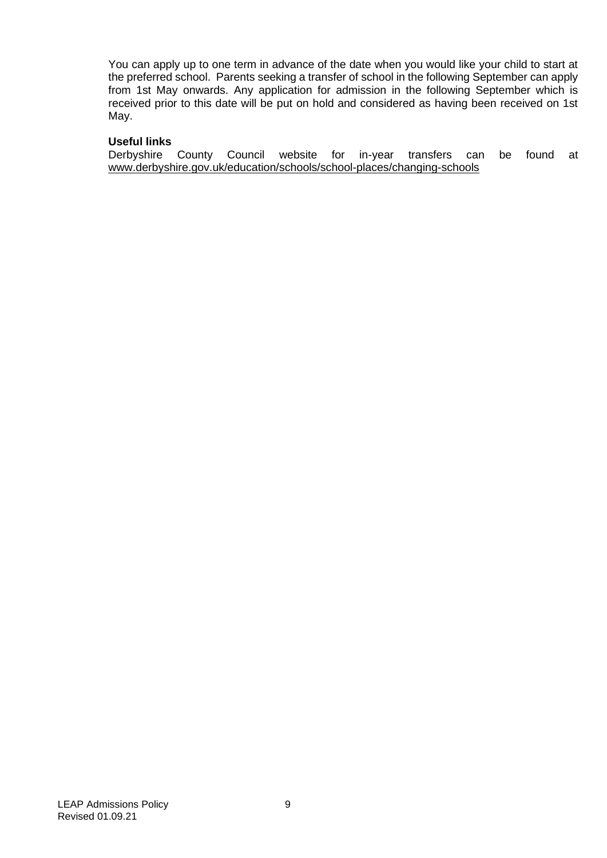You can apply up to one term in advance of the date when you would like your child to start at the preferred school. Parents seeking a transfer of school in the following September can apply from 1st May onwards. Any application for admission in the following September which is received prior to this date will be put on hold and considered as having been received on 1st May.

#### **Useful links**

Derbyshire County Council website for in-year transfers can be found at [www.derbyshire.gov.uk/education/schools/school-places/changing-schools](http://www.derbyshire.gov.uk/education/schools/school-places/changing-schools)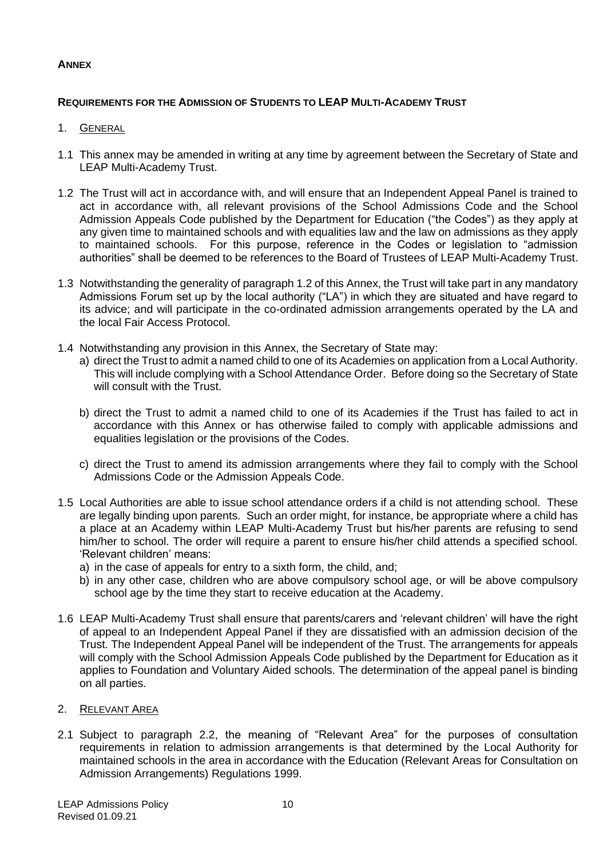# **ANNEX**

# **REQUIREMENTS FOR THE ADMISSION OF STUDENTS TO LEAP MULTI-ACADEMY TRUST**

# 1. GENERAL

- 1.1 This annex may be amended in writing at any time by agreement between the Secretary of State and LEAP Multi-Academy Trust.
- 1.2 The Trust will act in accordance with, and will ensure that an Independent Appeal Panel is trained to act in accordance with, all relevant provisions of the School Admissions Code and the School Admission Appeals Code published by the Department for Education ("the Codes") as they apply at any given time to maintained schools and with equalities law and the law on admissions as they apply to maintained schools. For this purpose, reference in the Codes or legislation to "admission authorities" shall be deemed to be references to the Board of Trustees of LEAP Multi-Academy Trust.
- 1.3 Notwithstanding the generality of paragraph 1.2 of this Annex, the Trust will take part in any mandatory Admissions Forum set up by the local authority ("LA") in which they are situated and have regard to its advice; and will participate in the co-ordinated admission arrangements operated by the LA and the local Fair Access Protocol.
- 1.4 Notwithstanding any provision in this Annex, the Secretary of State may:
	- a) direct the Trust to admit a named child to one of its Academies on application from a Local Authority. This will include complying with a School Attendance Order. Before doing so the Secretary of State will consult with the Trust.
	- b) direct the Trust to admit a named child to one of its Academies if the Trust has failed to act in accordance with this Annex or has otherwise failed to comply with applicable admissions and equalities legislation or the provisions of the Codes.
	- c) direct the Trust to amend its admission arrangements where they fail to comply with the School Admissions Code or the Admission Appeals Code.
- 1.5 Local Authorities are able to issue school attendance orders if a child is not attending school. These are legally binding upon parents. Such an order might, for instance, be appropriate where a child has a place at an Academy within LEAP Multi-Academy Trust but his/her parents are refusing to send him/her to school. The order will require a parent to ensure his/her child attends a specified school. 'Relevant children' means:
	- a) in the case of appeals for entry to a sixth form, the child, and;
	- b) in any other case, children who are above compulsory school age, or will be above compulsory school age by the time they start to receive education at the Academy.
- 1.6 LEAP Multi-Academy Trust shall ensure that parents/carers and 'relevant children' will have the right of appeal to an Independent Appeal Panel if they are dissatisfied with an admission decision of the Trust. The Independent Appeal Panel will be independent of the Trust. The arrangements for appeals will comply with the School Admission Appeals Code published by the Department for Education as it applies to Foundation and Voluntary Aided schools. The determination of the appeal panel is binding on all parties.
- 2. RELEVANT AREA
- 2.1 Subject to paragraph 2.2, the meaning of "Relevant Area" for the purposes of consultation requirements in relation to admission arrangements is that determined by the Local Authority for maintained schools in the area in accordance with the Education (Relevant Areas for Consultation on Admission Arrangements) Regulations 1999.